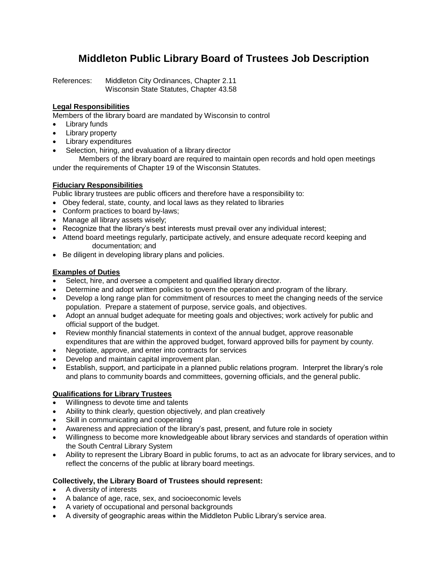## **Middleton Public Library Board of Trustees Job Description**

References: Middleton City Ordinances, Chapter 2.11 Wisconsin State Statutes, Chapter 43.58

### **Legal Responsibilities**

Members of the library board are mandated by Wisconsin to control

- Library funds
- Library property
- Library expenditures
- Selection, hiring, and evaluation of a library director

Members of the library board are required to maintain open records and hold open meetings under the requirements of Chapter 19 of the Wisconsin Statutes.

#### **Fiduciary Responsibilities**

Public library trustees are public officers and therefore have a responsibility to:

- Obey federal, state, county, and local laws as they related to libraries
- Conform practices to board by-laws;
- Manage all library assets wisely;
- Recognize that the library's best interests must prevail over any individual interest;
- Attend board meetings regularly, participate actively, and ensure adequate record keeping and documentation; and
- Be diligent in developing library plans and policies.

#### **Examples of Duties**

- Select, hire, and oversee a competent and qualified library director.
- Determine and adopt written policies to govern the operation and program of the library.
- Develop a long range plan for commitment of resources to meet the changing needs of the service population. Prepare a statement of purpose, service goals, and objectives.
- Adopt an annual budget adequate for meeting goals and objectives; work actively for public and official support of the budget.
- Review monthly financial statements in context of the annual budget, approve reasonable expenditures that are within the approved budget, forward approved bills for payment by county.
- Negotiate, approve, and enter into contracts for services
- Develop and maintain capital improvement plan.
- Establish, support, and participate in a planned public relations program. Interpret the library's role and plans to community boards and committees, governing officials, and the general public.

#### **Qualifications for Library Trustees**

- Willingness to devote time and talents
- Ability to think clearly, question objectively, and plan creatively
- Skill in communicating and cooperating
- Awareness and appreciation of the library's past, present, and future role in society
- Willingness to become more knowledgeable about library services and standards of operation within the South Central Library System
- Ability to represent the Library Board in public forums, to act as an advocate for library services, and to reflect the concerns of the public at library board meetings.

#### **Collectively, the Library Board of Trustees should represent:**

- A diversity of interests
- A balance of age, race, sex, and socioeconomic levels
- A variety of occupational and personal backgrounds
- A diversity of geographic areas within the Middleton Public Library's service area.